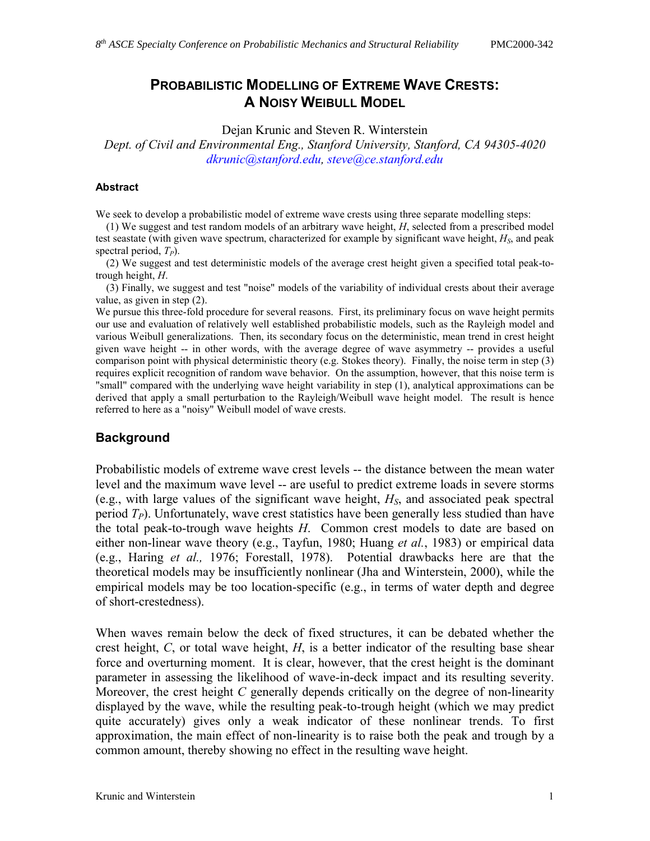# PROBABILISTIC MODELLING OF EXTREME WAVE CRESTS: A NOISY WEIBULL MODEL

Dejan Krunic and Steven R. Winterstein

Dept. of Civil and Environmental Eng., Stanford University, Stanford, CA 94305-4020 dkrunic@stanford.edu, steve@ce.stanford.edu

#### **Abstract**

We seek to develop a probabilistic model of extreme wave crests using three separate modelling steps:

 (1) We suggest and test random models of an arbitrary wave height, H, selected from a prescribed model test seastate (with given wave spectrum, characterized for example by significant wave height,  $H<sub>S</sub>$ , and peak spectral period,  $T_p$ ).

 (2) We suggest and test deterministic models of the average crest height given a specified total peak-totrough height, H.

 (3) Finally, we suggest and test "noise" models of the variability of individual crests about their average value, as given in step (2).

We pursue this three-fold procedure for several reasons. First, its preliminary focus on wave height permits our use and evaluation of relatively well established probabilistic models, such as the Rayleigh model and various Weibull generalizations. Then, its secondary focus on the deterministic, mean trend in crest height given wave height -- in other words, with the average degree of wave asymmetry -- provides a useful comparison point with physical deterministic theory (e.g. Stokes theory). Finally, the noise term in step (3) requires explicit recognition of random wave behavior. On the assumption, however, that this noise term is "small" compared with the underlying wave height variability in step (1), analytical approximations can be derived that apply a small perturbation to the Rayleigh/Weibull wave height model. The result is hence referred to here as a "noisy" Weibull model of wave crests.

## **Background**

Probabilistic models of extreme wave crest levels -- the distance between the mean water level and the maximum wave level -- are useful to predict extreme loads in severe storms (e.g., with large values of the significant wave height,  $H<sub>S</sub>$ , and associated peak spectral period  $T<sub>P</sub>$ ). Unfortunately, wave crest statistics have been generally less studied than have the total peak-to-trough wave heights H. Common crest models to date are based on either non-linear wave theory (e.g., Tayfun, 1980; Huang et al., 1983) or empirical data (e.g., Haring et al., 1976; Forestall, 1978). Potential drawbacks here are that the theoretical models may be insufficiently nonlinear (Jha and Winterstein, 2000), while the empirical models may be too location-specific (e.g., in terms of water depth and degree of short-crestedness).

When waves remain below the deck of fixed structures, it can be debated whether the crest height,  $C$ , or total wave height,  $H$ , is a better indicator of the resulting base shear force and overturning moment. It is clear, however, that the crest height is the dominant parameter in assessing the likelihood of wave-in-deck impact and its resulting severity. Moreover, the crest height  $C$  generally depends critically on the degree of non-linearity displayed by the wave, while the resulting peak-to-trough height (which we may predict quite accurately) gives only a weak indicator of these nonlinear trends. To first approximation, the main effect of non-linearity is to raise both the peak and trough by a common amount, thereby showing no effect in the resulting wave height.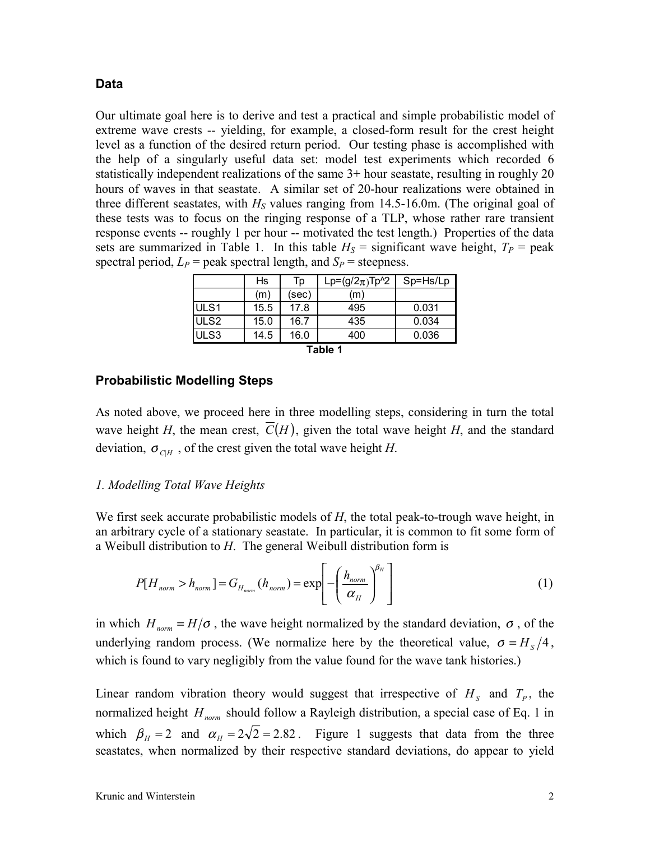## Data

Our ultimate goal here is to derive and test a practical and simple probabilistic model of extreme wave crests -- yielding, for example, a closed-form result for the crest height level as a function of the desired return period. Our testing phase is accomplished with the help of a singularly useful data set: model test experiments which recorded 6 statistically independent realizations of the same 3+ hour seastate, resulting in roughly 20 hours of waves in that seastate. A similar set of 20-hour realizations were obtained in three different seastates, with  $H<sub>S</sub>$  values ranging from 14.5-16.0m. (The original goal of these tests was to focus on the ringing response of a TLP, whose rather rare transient response events -- roughly 1 per hour -- motivated the test length.) Properties of the data sets are summarized in Table 1. In this table  $H<sub>S</sub>$  = significant wave height,  $T<sub>P</sub>$  = peak spectral period,  $L_P$  = peak spectral length, and  $S_P$  = steepness.

|                  | Hs   | Тp    | Lp= $(g/2_{\pi})$ Tp^2 | Sp=Hs/Lp |  |  |  |
|------------------|------|-------|------------------------|----------|--|--|--|
|                  | (m)  | (sec) | (m)                    |          |  |  |  |
| ULS <sub>1</sub> | 15.5 | 17.8  | 495                    | 0.031    |  |  |  |
| ULS <sub>2</sub> | 15.0 | 16.7  | 435                    | 0.034    |  |  |  |
| ULS3             | 14.5 | 16.0  | 400                    | 0.036    |  |  |  |
| Tahlo 1          |      |       |                        |          |  |  |  |

| × | ×<br>۰, |  |
|---|---------|--|

## Probabilistic Modelling Steps

As noted above, we proceed here in three modelling steps, considering in turn the total wave height H, the mean crest,  $\overline{C}(H)$ , given the total wave height H, and the standard deviation,  $\sigma_{CH}$ , of the crest given the total wave height H.

## 1. Modelling Total Wave Heights

We first seek accurate probabilistic models of  $H$ , the total peak-to-trough wave height, in an arbitrary cycle of a stationary seastate. In particular, it is common to fit some form of a Weibull distribution to  $H$ . The general Weibull distribution form is

$$
P[H_{norm} > h_{norm}] = G_{H_{norm}}(h_{norm}) = \exp\left[-\left(\frac{h_{norm}}{\alpha_H}\right)^{\beta_H}\right]
$$
 (1)

in which  $H_{norm} = H/\sigma$ , the wave height normalized by the standard deviation,  $\sigma$ , of the underlying random process. (We normalize here by the theoretical value,  $\sigma = H_s/4$ , which is found to vary negligibly from the value found for the wave tank histories.)

Linear random vibration theory would suggest that irrespective of  $H<sub>S</sub>$  and  $T<sub>P</sub>$ , the normalized height  $H_{norm}$  should follow a Rayleigh distribution, a special case of Eq. 1 in which  $\beta_H = 2$  and  $\alpha_H = 2\sqrt{2} = 2.82$ . Figure 1 suggests that data from the three seastates, when normalized by their respective standard deviations, do appear to yield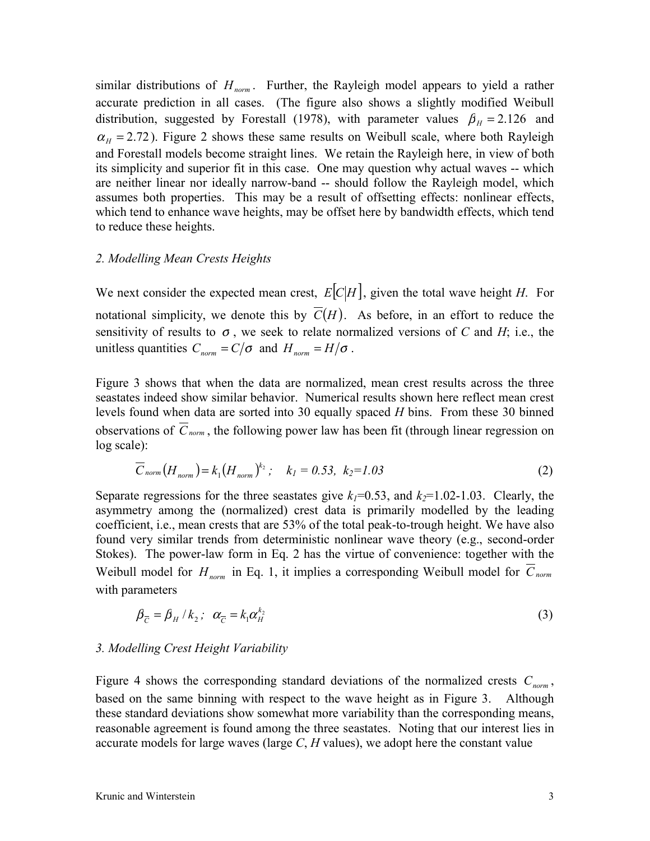similar distributions of  $H_{norm}$ . Further, the Rayleigh model appears to yield a rather accurate prediction in all cases. (The figure also shows a slightly modified Weibull distribution, suggested by Forestall (1978), with parameter values  $\beta_{H} = 2.126$  and  $\alpha_{H} = 2.72$ ). Figure 2 shows these same results on Weibull scale, where both Rayleigh and Forestall models become straight lines. We retain the Rayleigh here, in view of both its simplicity and superior fit in this case. One may question why actual waves -- which are neither linear nor ideally narrow-band -- should follow the Rayleigh model, which assumes both properties. This may be a result of offsetting effects: nonlinear effects, which tend to enhance wave heights, may be offset here by bandwidth effects, which tend to reduce these heights.

#### 2. Modelling Mean Crests Heights

We next consider the expected mean crest,  $E[C|H]$ , given the total wave height H. For notational simplicity, we denote this by  $\overline{C}(H)$ . As before, in an effort to reduce the sensitivity of results to  $\sigma$ , we seek to relate normalized versions of C and H; i.e., the unitless quantities  $C_{norm} = C/\sigma$  and  $H_{norm} = H/\sigma$ .

Figure 3 shows that when the data are normalized, mean crest results across the three seastates indeed show similar behavior. Numerical results shown here reflect mean crest levels found when data are sorted into 30 equally spaced  $H$  bins. From these 30 binned observations of  $\overline{C}_{norm}$ , the following power law has been fit (through linear regression on log scale):

$$
\overline{C}_{norm}(H_{norm}) = k_1 (H_{norm})^{k_2}; \quad k_1 = 0.53, \ k_2 = 1.03 \tag{2}
$$

Separate regressions for the three seastates give  $k_1=0.53$ , and  $k_2=1.02-1.03$ . Clearly, the asymmetry among the (normalized) crest data is primarily modelled by the leading coefficient, i.e., mean crests that are 53% of the total peak-to-trough height. We have also found very similar trends from deterministic nonlinear wave theory (e.g., second-order Stokes). The power-law form in Eq. 2 has the virtue of convenience: together with the Weibull model for  $H_{norm}$  in Eq. 1, it implies a corresponding Weibull model for  $\overline{C}_{norm}$ with parameters

$$
\beta_{\overline{C}} = \beta_H / k_2; \quad \alpha_{\overline{C}} = k_1 \alpha_H^{k_2} \tag{3}
$$

#### 3. Modelling Crest Height Variability

Figure 4 shows the corresponding standard deviations of the normalized crests  $C_{norm}$ , based on the same binning with respect to the wave height as in Figure 3. Although these standard deviations show somewhat more variability than the corresponding means, reasonable agreement is found among the three seastates. Noting that our interest lies in accurate models for large waves (large  $C$ ,  $H$  values), we adopt here the constant value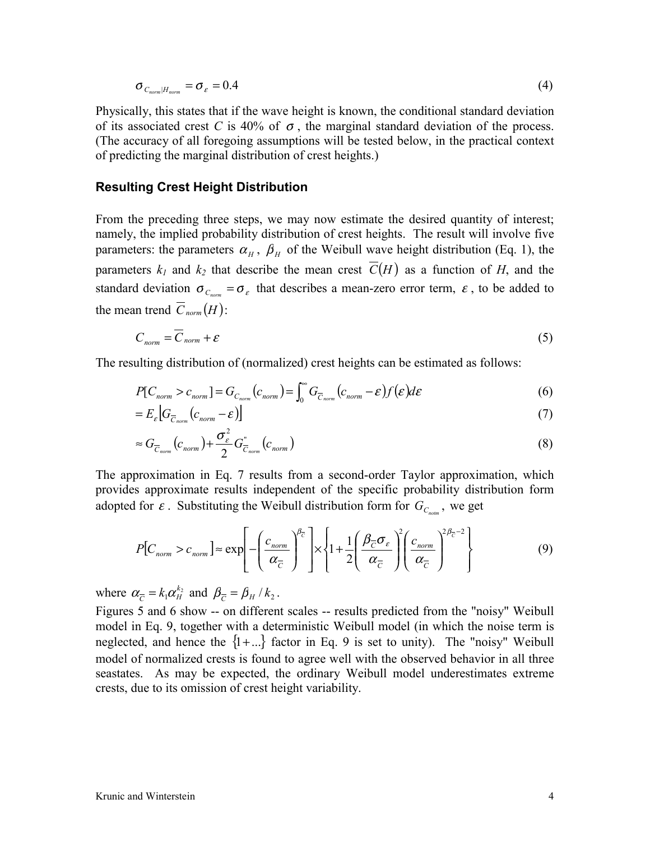$$
\sigma_{C_{norm}|H_{norm}} = \sigma_{\varepsilon} = 0.4 \tag{4}
$$

Physically, this states that if the wave height is known, the conditional standard deviation of its associated crest C is 40% of  $\sigma$ , the marginal standard deviation of the process. (The accuracy of all foregoing assumptions will be tested below, in the practical context of predicting the marginal distribution of crest heights.)

#### Resulting Crest Height Distribution

From the preceding three steps, we may now estimate the desired quantity of interest; namely, the implied probability distribution of crest heights. The result will involve five parameters: the parameters  $\alpha_H$ ,  $\beta_H$  of the Weibull wave height distribution (Eq. 1), the parameters  $k_1$  and  $k_2$  that describe the mean crest  $\overline{C}(H)$  as a function of H, and the standard deviation  $\sigma_{C_{norm}} = \sigma_{\varepsilon}$  that describes a mean-zero error term,  $\varepsilon$ , to be added to the mean trend  $\overline{C}_{norm}(H)$ :

$$
C_{norm} = \overline{C}_{norm} + \varepsilon \tag{5}
$$

The resulting distribution of (normalized) crest heights can be estimated as follows:

$$
P[C_{norm} > c_{norm}] = G_{C_{norm}}(c_{norm}) = \int_0^\infty G_{\overline{C}_{norm}}(c_{norm} - \varepsilon) f(\varepsilon) d\varepsilon
$$
\n(6)

$$
=E_{\varepsilon}\left[G_{\overline{C}_{norm}}(c_{norm}-\varepsilon)\right]
$$
\n<sup>(7)</sup>

$$
\approx G_{\overline{C}_{norm}}(c_{norm}) + \frac{\sigma_{\varepsilon}^2}{2} G_{\overline{C}_{norm}}^{\prime}(c_{norm})
$$
\n(8)

The approximation in Eq. 7 results from a second-order Taylor approximation, which provides approximate results independent of the specific probability distribution form adopted for  $\varepsilon$ . Substituting the Weibull distribution form for  $G_{\varepsilon_m}$ , we get

$$
P[C_{norm} > c_{norm}] \approx \exp\left[-\left(\frac{c_{norm}}{\alpha_{\overline{C}}}\right)^{\beta_{\overline{C}}}\right] \times \left\{1 + \frac{1}{2}\left(\frac{\beta_{\overline{C}}\sigma_{\varepsilon}}{\alpha_{\overline{C}}}\right)^{2}\left(\frac{c_{norm}}{\alpha_{\overline{C}}}\right)^{2\beta_{\overline{C}}-2}\right\} \tag{9}
$$

where  $\alpha_{\overline{C}} = k_1 \alpha_H^{k_2}$  $\alpha_{\overline{C}} = k_1 \alpha_H^{k_2}$  and  $\beta_{\overline{C}} = \beta_H / k_2$ .

Figures 5 and 6 show -- on different scales -- results predicted from the "noisy" Weibull model in Eq. 9, together with a deterministic Weibull model (in which the noise term is neglected, and hence the  $\{1 + \ldots\}$  factor in Eq. 9 is set to unity). The "noisy" Weibull model of normalized crests is found to agree well with the observed behavior in all three seastates. As may be expected, the ordinary Weibull model underestimates extreme crests, due to its omission of crest height variability.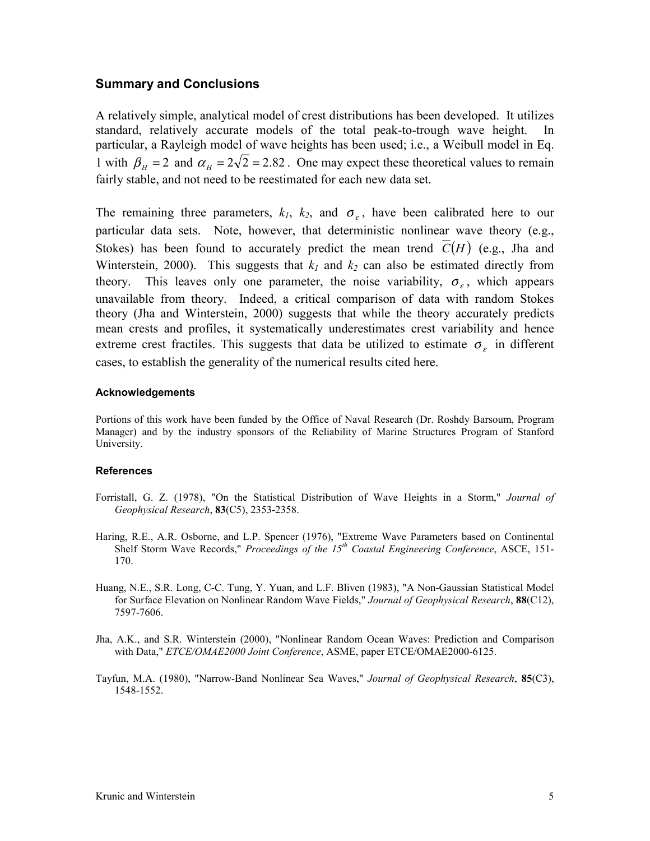### Summary and Conclusions

A relatively simple, analytical model of crest distributions has been developed. It utilizes standard, relatively accurate models of the total peak-to-trough wave height. In particular, a Rayleigh model of wave heights has been used; i.e., a Weibull model in Eq. 1 with  $\beta_H = 2$  and  $\alpha_H = 2\sqrt{2} = 2.82$ . One may expect these theoretical values to remain fairly stable, and not need to be reestimated for each new data set.

The remaining three parameters,  $k_1$ ,  $k_2$ , and  $\sigma_{\varepsilon}$ , have been calibrated here to our particular data sets. Note, however, that deterministic nonlinear wave theory (e.g., Stokes) has been found to accurately predict the mean trend  $\overline{C}(H)$  (e.g., Jha and Winterstein, 2000). This suggests that  $k_1$  and  $k_2$  can also be estimated directly from theory. This leaves only one parameter, the noise variability,  $\sigma_{\rm g}$ , which appears unavailable from theory. Indeed, a critical comparison of data with random Stokes theory (Jha and Winterstein, 2000) suggests that while the theory accurately predicts mean crests and profiles, it systematically underestimates crest variability and hence extreme crest fractiles. This suggests that data be utilized to estimate  $\sigma_{\epsilon}$  in different cases, to establish the generality of the numerical results cited here.

#### Acknowledgements

Portions of this work have been funded by the Office of Naval Research (Dr. Roshdy Barsoum, Program Manager) and by the industry sponsors of the Reliability of Marine Structures Program of Stanford University.

#### References

- Forristall, G. Z. (1978), "On the Statistical Distribution of Wave Heights in a Storm," Journal of Geophysical Research, 83(C5), 2353-2358.
- Haring, R.E., A.R. Osborne, and L.P. Spencer (1976), "Extreme Wave Parameters based on Continental Shelf Storm Wave Records," Proceedings of the  $15<sup>th</sup>$  Coastal Engineering Conference, ASCE, 151-170.
- Huang, N.E., S.R. Long, C-C. Tung, Y. Yuan, and L.F. Bliven (1983), "A Non-Gaussian Statistical Model for Surface Elevation on Nonlinear Random Wave Fields," Journal of Geophysical Research, 88(C12), 7597-7606.
- Jha, A.K., and S.R. Winterstein (2000), "Nonlinear Random Ocean Waves: Prediction and Comparison with Data," ETCE/OMAE2000 Joint Conference, ASME, paper ETCE/OMAE2000-6125.
- Tayfun, M.A. (1980), "Narrow-Band Nonlinear Sea Waves," Journal of Geophysical Research, 85(C3), 1548-1552.